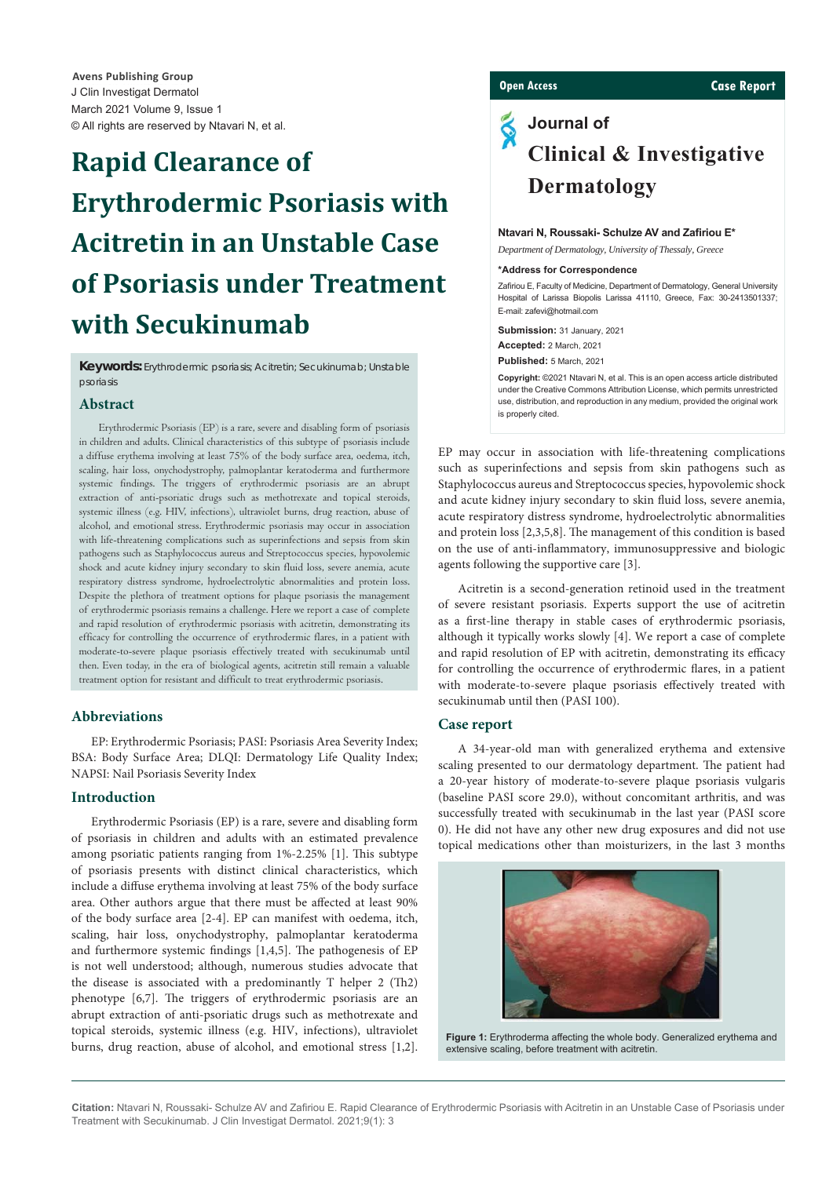J Clin Investigat Dermatol March 2021 Volume 9, Issue 1 © All rights are reserved by Ntavari N, et al. **Avens Publishing Group**

# **Rapid Clearance of Erythrodermic Psoriasis with Acitretin in an Unstable Case of Psoriasis under Treatment with Secukinumab**

**Keywords:** Erythrodermic psoriasis; Acitretin; Secukinumab; Unstable psoriasis

# **Abstract**

Erythrodermic Psoriasis (EP) is a rare, severe and disabling form of psoriasis in children and adults. Clinical characteristics of this subtype of psoriasis include a diffuse erythema involving at least 75% of the body surface area, oedema, itch, scaling, hair loss, onychodystrophy, palmoplantar keratoderma and furthermore systemic findings. The triggers of erythrodermic psoriasis are an abrupt extraction of anti-psoriatic drugs such as methotrexate and topical steroids, systemic illness (e.g. HIV, infections), ultraviolet burns, drug reaction, abuse of alcohol, and emotional stress. Erythrodermic psoriasis may occur in association with life-threatening complications such as superinfections and sepsis from skin pathogens such as Staphylococcus aureus and Streptococcus species, hypovolemic shock and acute kidney injury secondary to skin fluid loss, severe anemia, acute respiratory distress syndrome, hydroelectrolytic abnormalities and protein loss. Despite the plethora of treatment options for plaque psoriasis the management of erythrodermic psoriasis remains a challenge. Here we report a case of complete and rapid resolution of erythrodermic psoriasis with acitretin, demonstrating its efficacy for controlling the occurrence of erythrodermic flares, in a patient with moderate-to-severe plaque psoriasis effectively treated with secukinumab until then. Even today, in the era of biological agents, acitretin still remain a valuable treatment option for resistant and difficult to treat erythrodermic psoriasis.

# **Abbreviations**

EP: Erythrodermic Psoriasis; PASI: Psoriasis Area Severity Index; BSA: Body Surface Area; DLQI: Dermatology Life Quality Index; NAPSI: Nail Psoriasis Severity Index

# **Introduction**

Erythrodermic Psoriasis (EP) is a rare, severe and disabling form of psoriasis in children and adults with an estimated prevalence among psoriatic patients ranging from 1%-2.25% [1]. This subtype of psoriasis presents with distinct clinical characteristics, which include a diffuse erythema involving at least 75% of the body surface area. Other authors argue that there must be affected at least 90% of the body surface area [2-4]. EP can manifest with oedema, itch, scaling, hair loss, onychodystrophy, palmoplantar keratoderma and furthermore systemic findings  $[1,4,5]$ . The pathogenesis of EP is not well understood; although, numerous studies advocate that the disease is associated with a predominantly  $T$  helper  $2$  (Th $2$ ) phenotype [6,7]. The triggers of erythrodermic psoriasis are an abrupt extraction of anti-psoriatic drugs such as methotrexate and topical steroids, systemic illness (e.g. HIV, infections), ultraviolet burns, drug reaction, abuse of alcohol, and emotional stress [1,2].

# **Open Access Case Report**

# **Journal of Clinical & Investigative Dermatology**

#### **Ntavari N, Roussaki- Schulze AV and Zafiriou E\***

*Department of Dermatology, University of Thessaly, Greece*

#### **\*Address for Correspondence**

Zafiriou E, Faculty of Medicine, Department of Dermatology, General University Hospital of Larissa Biopolis Larissa 41110, Greece, Fax: 30-2413501337; E-mail: zafevi@hotmail.com

**Submission:** 31 January, 2021 **Accepted:** 2 March, 2021 **Published:** 5 March, 2021

**Copyright:** ©2021 Ntavari N, et al. This is an open access article distributed under the Creative Commons Attribution License, which permits unrestricted use, distribution, and reproduction in any medium, provided the original work is properly cited.

EP may occur in association with life-threatening complications such as superinfections and sepsis from skin pathogens such as Staphylococcus aureus and Streptococcus species, hypovolemic shock and acute kidney injury secondary to skin fluid loss, severe anemia, acute respiratory distress syndrome, hydroelectrolytic abnormalities and protein loss  $[2,3,5,8]$ . The management of this condition is based on the use of anti-inflammatory, immunosuppressive and biologic agents following the supportive care [3].

Acitretin is a second-generation retinoid used in the treatment of severe resistant psoriasis. Experts support the use of acitretin as a first-line therapy in stable cases of erythrodermic psoriasis, although it typically works slowly [4]. We report a case of complete and rapid resolution of EP with acitretin, demonstrating its efficacy for controlling the occurrence of erythrodermic flares, in a patient with moderate-to-severe plaque psoriasis effectively treated with secukinumab until then (PASI 100).

#### **Case report**

A 34-year-old man with generalized erythema and extensive scaling presented to our dermatology department. The patient had a 20-year history of moderate-to-severe plaque psoriasis vulgaris (baseline PASI score 29.0), without concomitant arthritis, and was successfully treated with secukinumab in the last year (PASI score 0). He did not have any other new drug exposures and did not use topical medications other than moisturizers, in the last 3 months



**Figure 1:** Erythroderma affecting the whole body. Generalized erythema and extensive scaling, before treatment with acitretin.

Citation: Ntavari N, Roussaki- Schulze AV and Zafiriou E. Rapid Clearance of Erythrodermic Psoriasis with Acitretin in an Unstable Case of Psoriasis under Treatment with Secukinumab. J Clin Investigat Dermatol. 2021;9(1): 3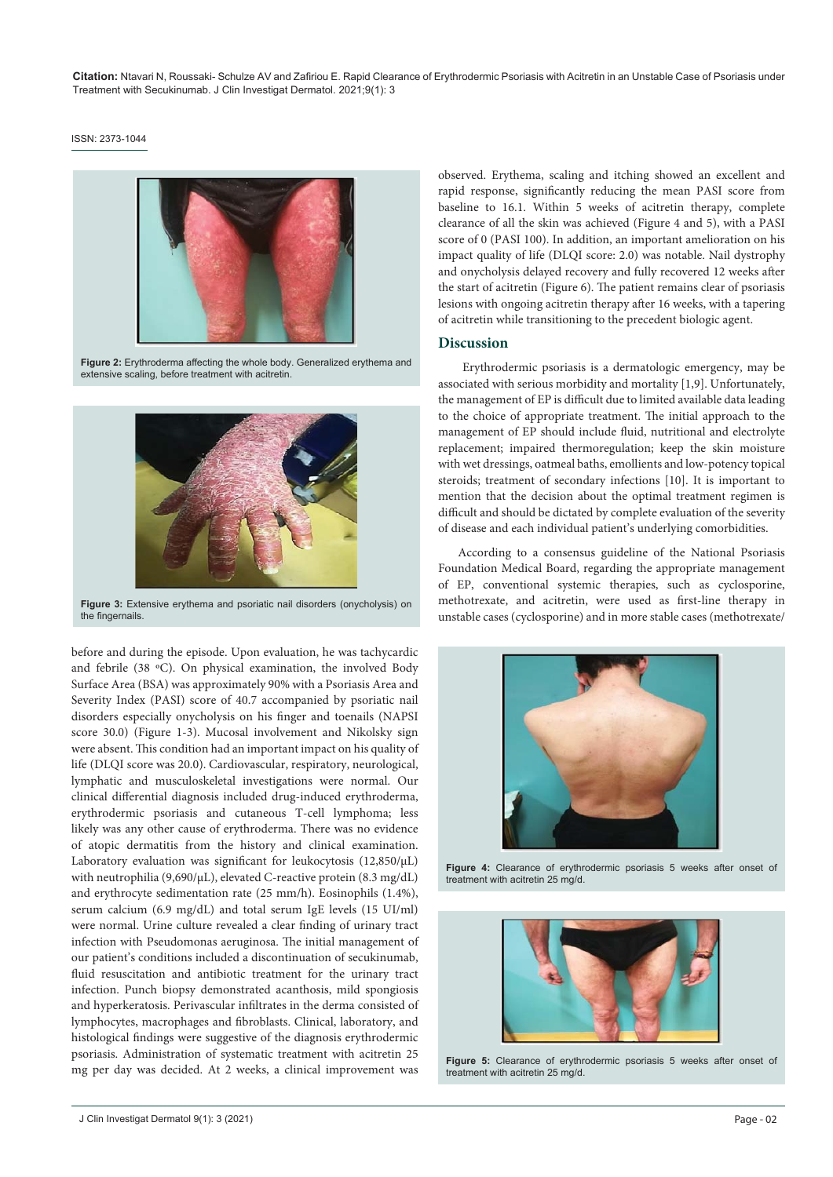Citation: Ntavari N, Roussaki- Schulze AV and Zafiriou E. Rapid Clearance of Erythrodermic Psoriasis with Acitretin in an Unstable Case of Psoriasis under Treatment with Secukinumab. J Clin Investigat Dermatol. 2021;9(1): 3

#### ISSN: 2373-1044



Figure 2: Erythroderma affecting the whole body. Generalized erythema and extensive scaling, before treatment with acitretin.



**Figure 3:** Extensive erythema and psoriatic nail disorders (onycholysis) on the fingernails.

before and during the episode. Upon evaluation, he was tachycardic and febrile (38 ºC). On physical examination, the involved Body Surface Area (BSA) was approximately 90% with a Psoriasis Area and Severity Index (PASI) score of 40.7 accompanied by psoriatic nail disorders especially onycholysis on his finger and toenails (NAPSI score 30.0) (Figure 1-3). Mucosal involvement and Nikolsky sign were absent. This condition had an important impact on his quality of life (DLQI score was 20.0). Cardiovascular, respiratory, neurological, lymphatic and musculoskeletal investigations were normal. Our clinical differential diagnosis included drug-induced erythroderma, erythrodermic psoriasis and cutaneous T-cell lymphoma; less likely was any other cause of erythroderma. Τhere was no evidence of atopic dermatitis from the history and clinical examination. Laboratory evaluation was significant for leukocytosis (12,850/µL) with neutrophilia (9,690/μL), elevated C-reactive protein (8.3 mg/dL) and erythrocyte sedimentation rate (25 mm/h). Eosinophils (1.4%), serum calcium (6.9 mg/dL) and total serum IgE levels (15 UI/ml) were normal. Urine culture revealed a clear finding of urinary tract infection with Pseudomonas aeruginosa. The initial management of our patient's conditions included a discontinuation of secukinumab, fluid resuscitation and antibiotic treatment for the urinary tract infection. Punch biopsy demonstrated acanthosis, mild spongiosis and hyperkeratosis. Perivascular infiltrates in the derma consisted of lymphocytes, macrophages and fibroblasts. Clinical, laboratory, and histological findings were suggestive of the diagnosis erythrodermic psoriasis. Administration of systematic treatment with acitretin 25 mg per day was decided. At 2 weeks, a clinical improvement was

observed. Erythema, scaling and itching showed an excellent and rapid response, significantly reducing the mean PASI score from baseline to 16.1. Within 5 weeks of acitretin therapy, complete clearance of all the skin was achieved (Figure 4 and 5), with a PASI score of 0 (PASI 100). In addition, an important amelioration on his impact quality of life (DLQI score: 2.0) was notable. Nail dystrophy and onycholysis delayed recovery and fully recovered 12 weeks after the start of acitretin (Figure 6). The patient remains clear of psoriasis lesions with ongoing acitretin therapy after 16 weeks, with a tapering of acitretin while transitioning to the precedent biologic agent.

#### **Discussion**

 Erythrodermic psoriasis is a dermatologic emergency, may be associated with serious morbidity and mortality [1,9]. Unfortunately, the management of EP is difficult due to limited available data leading to the choice of appropriate treatment. The initial approach to the management of EP should include fluid, nutritional and electrolyte replacement; impaired thermoregulation; keep the skin moisture with wet dressings, oatmeal baths, emollients and low-potency topical steroids; treatment of secondary infections [10]. It is important to mention that the decision about the optimal treatment regimen is difficult and should be dictated by complete evaluation of the severity of disease and each individual patient's underlying comorbidities.

According to a consensus guideline of the National Psoriasis Foundation Medical Board, regarding the appropriate management of EP, conventional systemic therapies, such as cyclosporine, methotrexate, and acitretin, were used as first-line therapy in unstable cases (cyclosporine) and in more stable cases (methotrexate/



**Figure 4:** Clearance of erythrodermic psoriasis 5 weeks after onset of treatment with acitretin 25 mg/d.



**Figure 5:** Clearance of erythrodermic psoriasis 5 weeks after onset of treatment with acitretin 25 mg/d.